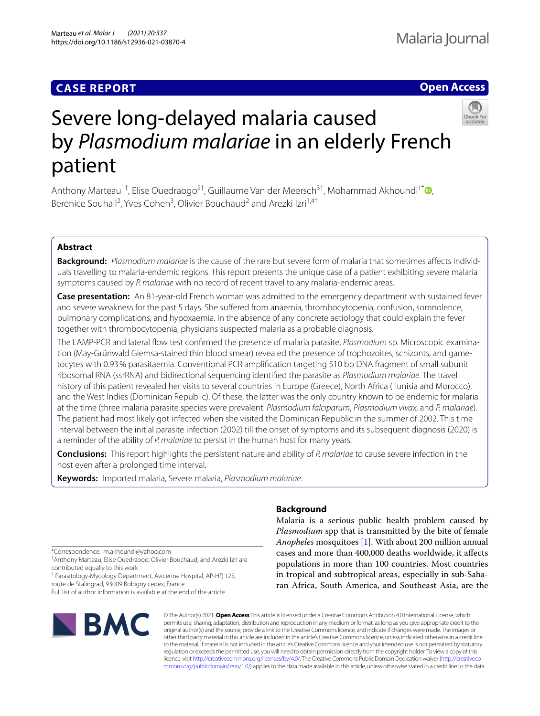# **CASE REPORT**

# **Open Access**



# Severe long-delayed malaria caused by *Plasmodium malariae* in an elderly French patient

Anthony Marteau<sup>1†</sup>[,](http://orcid.org/0000-0003-4672-9836) Elise Ouedraogo<sup>2†</sup>, Guillaume Van der Meersch<sup>3†</sup>, Mohammad Akhoundi<sup>1\*</sup> , Berenice Souhail<sup>2</sup>, Yves Cohen<sup>3</sup>, Olivier Bouchaud<sup>2</sup> and Arezki Izri<sup>1,4†</sup>

# **Abstract**

**Background:** *Plasmodium malariae* is the cause of the rare but severe form of malaria that sometimes afects individuals travelling to malaria-endemic regions. This report presents the unique case of a patient exhibiting severe malaria symptoms caused by *P. malariae* with no record of recent travel to any malaria-endemic areas.

**Case presentation:** An 81-year-old French woman was admitted to the emergency department with sustained fever and severe weakness for the past 5 days. She suffered from anaemia, thrombocytopenia, confusion, somnolence, pulmonary complications, and hypoxaemia. In the absence of any concrete aetiology that could explain the fever together with thrombocytopenia, physicians suspected malaria as a probable diagnosis.

The LAMP-PCR and lateral fow test confrmed the presence of malaria parasite, *Plasmodium* sp. Microscopic examination (May-Grünwald Giemsa-stained thin blood smear) revealed the presence of trophozoites, schizonts, and gametocytes with 0.93% parasitaemia. Conventional PCR amplifcation targeting 510 bp DNA fragment of small subunit ribosomal RNA (ssrRNA) and bidirectional sequencing identifed the parasite as *Plasmodium malariae*. The travel history of this patient revealed her visits to several countries in Europe (Greece), North Africa (Tunisia and Morocco), and the West Indies (Dominican Republic). Of these, the latter was the only country known to be endemic for malaria at the time (three malaria parasite species were prevalent: *Plasmodium falciparum*, *Plasmodium vivax*, and *P. malariae*). The patient had most likely got infected when she visited the Dominican Republic in the summer of 2002. This time interval between the initial parasite infection (2002) till the onset of symptoms and its subsequent diagnosis (2020) is a reminder of the ability of *P. malariae* to persist in the human host for many years.

**Conclusions:** This report highlights the persistent nature and ability of *P. malariae* to cause severe infection in the host even after a prolonged time interval.

**Keywords:** Imported malaria, Severe malaria, *Plasmodium malariae*.

# **Background**

Malaria is a serious public health problem caused by *Plasmodium* spp that is transmitted by the bite of female *Anopheles* mosquitoes [\[1](#page-3-0)]. With about 200 million annual cases and more than 400,000 deaths worldwide, it afects populations in more than 100 countries. Most countries in tropical and subtropical areas, especially in sub-Saharan Africa, South America, and Southeast Asia, are the

\*Correspondence: m.akhoundi@yahoo.com

† Anthony Marteau, Elise Ouedraogo, Olivier Bouchaud, and Arezki Izri are contributed equally to this work

<sup>1</sup> Parasitology-Mycology Department, Avicenne Hospital, AP-HP, 125, route de Stalingrad, 93009 Bobigny cedex, France

Full list of author information is available at the end of the article



© The Author(s) 2021. **Open Access** This article is licensed under a Creative Commons Attribution 4.0 International License, which permits use, sharing, adaptation, distribution and reproduction in any medium or format, as long as you give appropriate credit to the original author(s) and the source, provide a link to the Creative Commons licence, and indicate if changes were made. The images or other third party material in this article are included in the article's Creative Commons licence, unless indicated otherwise in a credit line to the material. If material is not included in the article's Creative Commons licence and your intended use is not permitted by statutory regulation or exceeds the permitted use, you will need to obtain permission directly from the copyright holder. To view a copy of this licence, visit [http://creativecommons.org/licenses/by/4.0/.](http://creativecommons.org/licenses/by/4.0/) The Creative Commons Public Domain Dedication waiver ([http://creativeco](http://creativecommons.org/publicdomain/zero/1.0/) [mmons.org/publicdomain/zero/1.0/](http://creativecommons.org/publicdomain/zero/1.0/)) applies to the data made available in this article, unless otherwise stated in a credit line to the data.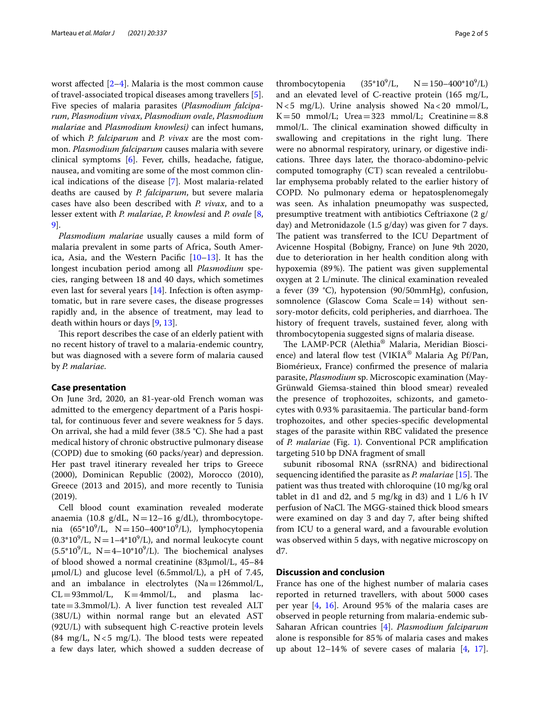worst affected  $[2-4]$  $[2-4]$ . Malaria is the most common cause of travel-associated tropical diseases among travellers [\[5](#page-3-3)]. Five species of malaria parasites (*Plasmodium falciparum*, *Plasmodium vivax*, *Plasmodium ovale*, *Plasmodium malariae* and *Plasmodium knowlesi)* can infect humans, of which *P. falciparum* and *P. vivax* are the most common. *Plasmodium falciparum* causes malaria with severe clinical symptoms [\[6](#page-3-4)]. Fever, chills, headache, fatigue, nausea, and vomiting are some of the most common clinical indications of the disease [[7\]](#page-3-5). Most malaria-related deaths are caused by *P. falciparum*, but severe malaria cases have also been described with *P. vivax*, and to a lesser extent with *P. malariae*, *P. knowlesi* and *P. ovale* [\[8](#page-3-6), [9\]](#page-3-7).

*Plasmodium malariae* usually causes a mild form of malaria prevalent in some parts of Africa, South America, Asia, and the Western Pacifc [\[10](#page-3-8)[–13\]](#page-3-9). It has the longest incubation period among all *Plasmodium* species, ranging between 18 and 40 days, which sometimes even last for several years [[14\]](#page-3-10). Infection is often asymptomatic, but in rare severe cases, the disease progresses rapidly and, in the absence of treatment, may lead to death within hours or days [[9,](#page-3-7) [13](#page-3-9)].

This report describes the case of an elderly patient with no recent history of travel to a malaria-endemic country, but was diagnosed with a severe form of malaria caused by *P. malariae*.

# **Case presentation**

On June 3rd, 2020, an 81-year-old French woman was admitted to the emergency department of a Paris hospital, for continuous fever and severe weakness for 5 days. On arrival, she had a mild fever (38.5 °C). She had a past medical history of chronic obstructive pulmonary disease (COPD) due to smoking (60 packs/year) and depression. Her past travel itinerary revealed her trips to Greece (2000), Dominican Republic (2002), Morocco (2010), Greece (2013 and 2015), and more recently to Tunisia (2019).

Cell blood count examination revealed moderate anaemia (10.8  $g/dL$ , N=12-16  $g/dL$ ), thrombocytopenia (65\*10<sup>9</sup>/L, N=150–400\*10<sup>9</sup>/L), lymphocytopenia  $(0.3*10<sup>9</sup>/L, N=1-4*10<sup>9</sup>/L)$ , and normal leukocyte count  $(5.5*10<sup>9</sup>/L, N=4-10*10<sup>9</sup>/L)$ . The biochemical analyses of blood showed a normal creatinine (83µmol/L, 45–84  $\mu$ mol/L) and glucose level (6.5mmol/L), a pH of 7.45, and an imbalance in electrolytes (Na=126mmol/L,<br>CL=93mmol/L, K=4mmol/L, and plasma lac- $CL = 93$ mmol/L,  $K = 4$ mmol/L, and plasma tate=3.3mmol/L). A liver function test revealed ALT (38U/L) within normal range but an elevated AST (92U/L) with subsequent high C-reactive protein levels (84  $mg/L$ , N < 5  $mg/L$ ). The blood tests were repeated a few days later, which showed a sudden decrease of

thrombocytopenia  $(35*10^9/L,$  $/L$ ,  $N = 150 - 400^* 10^9 / L$ and an elevated level of C-reactive protein (165 mg/L, N<5 mg/L). Urine analysis showed Na<20 mmol/L,  $K=50$  mmol/L; Urea = 323 mmol/L; Creatinine = 8.8 mmol/L. The clinical examination showed difficulty in swallowing and crepitations in the right lung. There were no abnormal respiratory, urinary, or digestive indications. Three days later, the thoraco-abdomino-pelvic computed tomography (CT) scan revealed a centrilobular emphysema probably related to the earlier history of COPD. No pulmonary edema or hepatosplenomegaly was seen. As inhalation pneumopathy was suspected, presumptive treatment with antibiotics Ceftriaxone (2 g/ day) and Metronidazole (1.5 g/day) was given for 7 days. The patient was transferred to the ICU Department of Avicenne Hospital (Bobigny, France) on June 9th 2020, due to deterioration in her health condition along with hypoxemia (89%). The patient was given supplemental oxygen at 2 L/minute. The clinical examination revealed a fever (39 °C), hypotension (90/50mmHg), confusion, somnolence (Glascow Coma  $Scale=14$ ) without sensory-motor deficits, cold peripheries, and diarrhoea. The history of frequent travels, sustained fever, along with thrombocytopenia suggested signs of malaria disease.

The LAMP-PCR (Alethia<sup>®</sup> Malaria, Meridian Bioscience) and lateral fow test (VIKIA® Malaria Ag Pf/Pan, Biomérieux, France) confrmed the presence of malaria parasite, *Plasmodium* sp. Microscopic examination (May-Grünwald Giemsa-stained thin blood smear) revealed the presence of trophozoites, schizonts, and gametocytes with 0.93% parasitaemia. The particular band-form trophozoites, and other species-specifc developmental stages of the parasite within RBC validated the presence of *P. malariae* (Fig. [1](#page-2-0)). Conventional PCR amplifcation targeting 510 bp DNA fragment of small

subunit ribosomal RNA (ssrRNA) and bidirectional sequencing identified the parasite as *P. malariae* [[15\]](#page-3-11). The patient was thus treated with chloroquine (10 mg/kg oral tablet in d1 and d2, and 5 mg/kg in d3) and 1 L/6 h IV perfusion of NaCl. The MGG-stained thick blood smears were examined on day 3 and day 7, after being shifted from ICU to a general ward, and a favourable evolution was observed within 5 days, with negative microscopy on d7.

# **Discussion and conclusion**

France has one of the highest number of malaria cases reported in returned travellers, with about 5000 cases per year [\[4](#page-3-2), [16](#page-3-12)]. Around 95% of the malaria cases are observed in people returning from malaria-endemic sub-Saharan African countries [\[4](#page-3-2)]. *Plasmodium falciparum* alone is responsible for 85% of malaria cases and makes up about  $12-14\%$  of severe cases of malaria  $[4, 17]$  $[4, 17]$  $[4, 17]$  $[4, 17]$  $[4, 17]$ .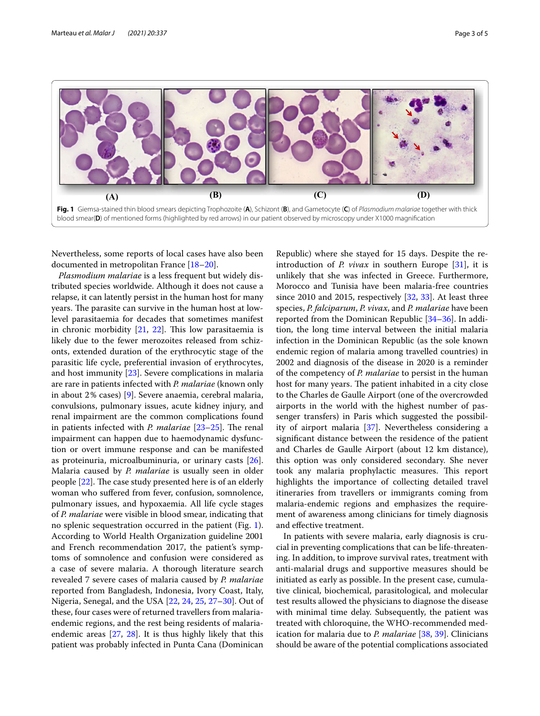

<span id="page-2-0"></span>Nevertheless, some reports of local cases have also been documented in metropolitan France [[18–](#page-3-14)[20\]](#page-3-15).

*Plasmodium malariae* is a less frequent but widely distributed species worldwide. Although it does not cause a relapse, it can latently persist in the human host for many years. The parasite can survive in the human host at lowlevel parasitaemia for decades that sometimes manifest in chronic morbidity  $[21, 22]$  $[21, 22]$  $[21, 22]$  $[21, 22]$ . This low parasitaemia is likely due to the fewer merozoites released from schizonts, extended duration of the erythrocytic stage of the parasitic life cycle, preferential invasion of erythrocytes, and host immunity [\[23](#page-3-18)]. Severe complications in malaria are rare in patients infected with *P. malariae* (known only in about 2% cases) [[9\]](#page-3-7). Severe anaemia, cerebral malaria, convulsions, pulmonary issues, acute kidney injury, and renal impairment are the common complications found in patients infected with *P. malariae* [[23](#page-3-18)[–25](#page-3-19)]. The renal impairment can happen due to haemodynamic dysfunction or overt immune response and can be manifested as proteinuria, microalbuminuria, or urinary casts [\[26](#page-3-20)]. Malaria caused by *P. malariae* is usually seen in older people  $[22]$  $[22]$  $[22]$ . The case study presented here is of an elderly woman who sufered from fever, confusion, somnolence, pulmonary issues, and hypoxaemia. All life cycle stages of *P. malariae* were visible in blood smear, indicating that no splenic sequestration occurred in the patient (Fig. [1](#page-2-0)). According to World Health Organization guideline 2001 and French recommendation 2017, the patient's symptoms of somnolence and confusion were considered as a case of severe malaria. A thorough literature search revealed 7 severe cases of malaria caused by *P. malariae* reported from Bangladesh, Indonesia, Ivory Coast, Italy, Nigeria, Senegal, and the USA [\[22](#page-3-17), [24,](#page-3-21) [25](#page-3-19), [27–](#page-3-22)[30\]](#page-3-23). Out of these, four cases were of returned travellers from malariaendemic regions, and the rest being residents of malariaendemic areas [[27,](#page-3-22) [28](#page-3-24)]. It is thus highly likely that this patient was probably infected in Punta Cana (Dominican

Republic) where she stayed for 15 days. Despite the reintroduction of *P. vivax* in southern Europe [[31\]](#page-3-25), it is unlikely that she was infected in Greece. Furthermore, Morocco and Tunisia have been malaria-free countries since 2010 and 2015, respectively [[32,](#page-3-26) [33\]](#page-3-27). At least three species, *P. falciparum*, *P. vivax*, and *P. malariae* have been reported from the Dominican Republic [\[34–](#page-4-0)[36\]](#page-4-1). In addition, the long time interval between the initial malaria infection in the Dominican Republic (as the sole known endemic region of malaria among travelled countries) in 2002 and diagnosis of the disease in 2020 is a reminder of the competency of *P. malariae* to persist in the human host for many years. The patient inhabited in a city close to the Charles de Gaulle Airport (one of the overcrowded airports in the world with the highest number of passenger transfers) in Paris which suggested the possibility of airport malaria [\[37](#page-4-2)]. Nevertheless considering a signifcant distance between the residence of the patient and Charles de Gaulle Airport (about 12 km distance), this option was only considered secondary. She never took any malaria prophylactic measures. This report highlights the importance of collecting detailed travel itineraries from travellers or immigrants coming from malaria-endemic regions and emphasizes the requirement of awareness among clinicians for timely diagnosis and efective treatment.

In patients with severe malaria, early diagnosis is crucial in preventing complications that can be life-threatening. In addition, to improve survival rates, treatment with anti-malarial drugs and supportive measures should be initiated as early as possible. In the present case, cumulative clinical, biochemical, parasitological, and molecular test results allowed the physicians to diagnose the disease with minimal time delay. Subsequently, the patient was treated with chloroquine, the WHO-recommended medication for malaria due to *P. malariae* [[38,](#page-4-3) [39](#page-4-4)]. Clinicians should be aware of the potential complications associated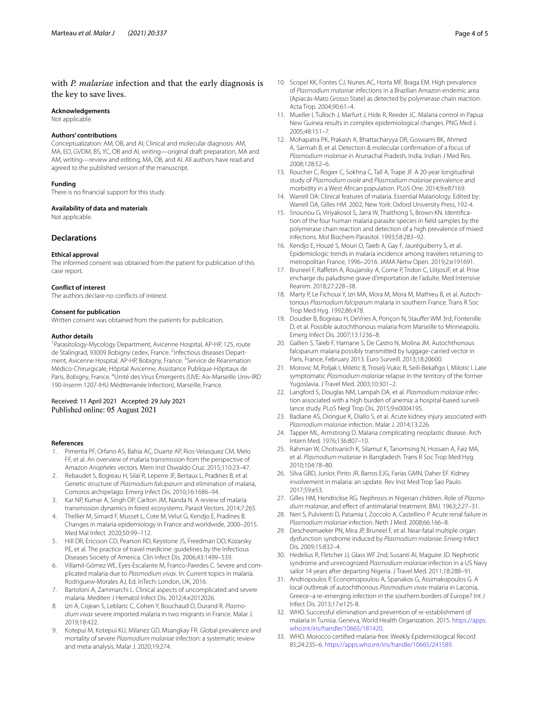# with *P. malariae* infection and that the early diagnosis is the key to save lives.

#### **Acknowledgements**

Not applicable.

## **Authors' contributions**

Conceptualization: AM, OB, and AI; Clinical and molecular diagnosis: AM, MA, EO, GVDM, BS, YC, OB and AI, writing—original draft preparation, MA and AM, writing—review and editing, MA, OB, and AI. All authors have read and agreed to the published version of the manuscript.

## **Funding**

There is no fnancial support for this study.

#### **Availability of data and materials**

Not applicable.

# **Declarations**

## **Ethical approval**

The informed consent was obtained from the patient for publication of this case report.

## **Conflict of interest**

The authors declare no conficts of interest.

#### **Consent for publication**

Written consent was obtained from the patients for publication.

## **Author details**

1 Parasitology-Mycology Department, Avicenne Hospital, AP-HP, 125, route de Stalingrad, 93009 Bobigny cedex, France. <sup>2</sup>Infectious diseases Department, Avicenne Hospital, AP-HP, Bobigny, France. <sup>3</sup>Service de Réanimation Médico-Chirurgicale, Hôpital Avicenne, Assistance Publique-Hôpitaux de Paris, Bobigny, France. <sup>4</sup>Unité des Virus Émergents (UVE: Aix-Marseille Univ-IRD 190-Inserm 1207-IHU Méditerranée Infection), Marseille, France.

# Received: 11 April 2021 Accepted: 29 July 2021 Published online: 05 August 2021

## **References**

- <span id="page-3-0"></span>1. Pimenta PF, Orfano AS, Bahia AC, Duarte AP, Rios-Velasquez CM, Melo FF, et al. An overview of malaria transmission from the perspective of Amazon *Anopheles* vectors. Mem Inst Oswaldo Cruz. 2015;110:23–47.
- <span id="page-3-1"></span>2. Rebaudet S, Bogreau H, Silaï R, Leperre JF, Bertaux L, Pradines B, et al. Genetic structure of *Plasmodium falciparum* and elimination of malaria, Comoros archipelago. Emerg Infect Dis. 2010;16:1686–94.
- 3. Kar NP, Kumar A, Singh OP, Carlton JM, Nanda N. A review of malaria transmission dynamics in forest ecosystems. Parasit Vectors. 2014;7:265.
- <span id="page-3-2"></span>4. Thellier M, Simard F, Musset L, Cote M, Velut G, Kendjo E, Pradines B. Changes in malaria epidemiology in France and worldwide, 2000–2015. Med Mal Infect. 2020;50:99–112.
- <span id="page-3-3"></span>5. Hill DR, Ericsson CD, Pearson RD, Keystone JS, Freedman DO, Kozarsky PE, et al. The practice of travel medicine: guidelines by the Infectious Diseases Society of America. Clin Infect Dis. 2006;43:1499–539.
- <span id="page-3-4"></span>6. Villamil-Gómez WE, Eyes-Escalante M, Franco-Paredes C. Severe and complicated malaria due to *Plasmodium vivax*. In: Current topics in malaria. Rodriguew-Morales AJ, Ed. InTech: London, UK, 2016.
- <span id="page-3-5"></span>7. Bartoloni A, Zammarchi L. Clinical aspects of uncomplicated and severe malaria. Mediterr J Hematol Infect Dis. 2012;4:e2012026.
- <span id="page-3-6"></span>Izri A, Cojean S, Leblanc C, Cohen Y, Bouchaud O, Durand R. *Plasmodium vivax* severe imported malaria in two migrants in France. Malar J. 2019;18:422.
- <span id="page-3-7"></span>9. Kotepui M, Kotepui KU, Milanez GD, Msangkay FR. Global prevalence and mortality of severe *Plasmodium malariae* infection: a systematic review and meta-analysis. Malar J. 2020;19:274.
- <span id="page-3-8"></span>10. Scopel KK, Fontes CJ, Nunes AC, Horta MF, Braga EM. High prevalence of *Plasmodium malariae* infections in a Brazilian Amazon endemic area (Apiacás-Mato Grosso State) as detected by polymerase chain reaction. Acta Trop. 2004;90:61–4.
- 11. Mueller I, Tulloch J, Marfurt J, Hide R, Reeder JC. Malaria control in Papua New Guinea results in complex epidemiological changes. PNG Med J. 2005;48:151–7.
- 12. Mohapatra PK, Prakash A, Bhattacharyya DR, Goswami BK, Ahmed A, Sarmah B, et al. Detection & molecular confrmation of a focus of *Plasmodium malariae* in Arunachal Pradesh, India. Indian J Med Res. 2008;128:52–6.
- <span id="page-3-9"></span>13. Roucher C, Rogier C, Sokhna C, Tall A, Trape JF. A 20-year longitudinal study of *Plasmodium ovale* and *Plasmodium malariae* prevalence and morbidity in a West African population. PLoS One. 2014;9:e87169.
- <span id="page-3-10"></span>14. Warrell DA: Clinical features of malaria. Essential Malariology. Edited by: Warrell DA, Gilles HM. 2002, New York: Oxford University Press, 192-4.
- <span id="page-3-11"></span>15. Snounou G, Viriyakosol S, Jarra W, Thaithong S, Brown KN. Identifcation of the four human malaria parasite species in feld samples by the polymerase chain reaction and detection of a high prevalence of mixed infections. Mol Biochem Parasitol. 1993;58:283–92.
- <span id="page-3-12"></span>16. Kendjo E, Houzé S, Mouri O, Taieb A, Gay F, Jauréguiberry S, et al. Epidemiologic trends in malaria incidence among travelers returning to metropolitan France, 1996–2016. JAMA Netw Open. 2019;2:e191691.
- <span id="page-3-13"></span>17. Bruneel F, Rafetin A, Roujansky A, Corne P, Tridon C, LlitjosJF, et al. Prise encharge du paludisme grave d'importation de l'adulte. Med Intensive Reanim. 2018;27:228–38.
- <span id="page-3-14"></span>18. Marty P, Le Fichoux Y, Izri MA, Mora M, Mora M, Mathieu B, et al. Autochtonous *Plasmodium falciparum* malaria in southern France. Trans R Soc Trop Med Hyg. 1992;86:478.
- 19. Doudier B, Bogreau H, DeVries A, Ponçon N, Staufer WM 3rd, Fontenille D, et al. Possible autochthonous malaria from Marseille to Minneapolis. Emerg Infect Dis. 2007;13:1236–8.
- <span id="page-3-15"></span>20. Gallien S, Taieb F, Hamane S, De Castro N, Molina JM. Autochthonous falciparum malaria possibly transmitted by luggage-carried vector in Paris, France, February 2013. Euro Surveill. 2013;18:20600.
- <span id="page-3-16"></span>21. Morovic M, Poljak I, Miletic B, Troselj-Vukic B, Seili-Bekafgo I, Milotic I. Late symptomatic *Plasmodium malariae* relapse in the territory of the former Yugoslavia. J Travel Med. 2003;10:301–2.
- <span id="page-3-17"></span>22. Langford S, Douglas NM, Lampah DA, et al. *Plasmodium malariae* infection associated with a high burden of anemia: a hospital-based surveillance study. PLoS Negl Trop Dis. 2015;9:e0004195.
- <span id="page-3-18"></span>23. Badiane AS, Diongue K, Diallo S, et al. Acute kidney injury associated with *Plasmodium malariae* infection. Malar J. 2014;13:226.
- <span id="page-3-21"></span>24. Tapper ML, Armstrong D. Malaria complicating neoplastic disease. Arch Intern Med. 1976;136:807–10.
- <span id="page-3-19"></span>25. Rahman W, Chotivanich K, Silamut K, Tanomsing N, Hossain A, Faiz MA, et al. *Plasmodium malariae* in Bangladesh. Trans R Soc Trop Med Hyg. 2010;104:78–80.
- <span id="page-3-20"></span>26. Silva GBD, Junior, Pinto JR, Barros EJG, Farias GMN, Daher EF. Kidney involvement in malaria: an update. Rev Inst Med Trop Sao Paulo. 2017;59:e53.
- <span id="page-3-22"></span>27. Gilles HM, Hendrickse RG. Nephrosis in Nigerian children. Role of *Plasmodium malariae*, and efect of antimalarial treatment. BMJ. 1963;2:27–31.
- <span id="page-3-24"></span>28. Neri S, Pulvirenti D, Patamia I, Zoccolo A, Castellino P. Acute renal failure in *Plasmodium malariae* infection. Neth J Med. 2008;66:166–8.
- 29. Descheemaeker PN, Mira JP, Bruneel F, et al. Near-fatal multiple organ dysfunction syndrome induced by *Plasmodium malariae*. Emerg Infect Dis. 2009;15:832–4.
- <span id="page-3-23"></span>30. Hedelius R, Fletcher JJ, Glass WF 2nd, Susanti AI, Maguire JD. Nephrotic syndrome and unrecognized *Plasmodium malariae* infection in a US Navy sailor 14 years after departing Nigeria. J Travel Med. 2011;18:288–91.
- <span id="page-3-25"></span>31. Andriopoulos P, Economopoulou A, Spanakos G, Assimakopoulos G. A local outbreak of autochthonous *Plasmodium vivax* malaria in Laconia, Greece–a re-emerging infection in the southern borders of Europe? Int J Infect Dis. 2013;17:e125-8.
- <span id="page-3-26"></span>32. WHO. Successful elimination and prevention of re-establishment of malaria in Tunisia. Geneva, World Health Organization. 2015. [https://apps.](https://apps.who.int/iris/handle/10665/181420) [who.int/iris/handle/10665/181420.](https://apps.who.int/iris/handle/10665/181420)
- <span id="page-3-27"></span>33. WHO. Morocco certifed malaria-free. Weekly Epidemiological Record 85;24:235–6.<https://apps.who.int/iris/handle/10665/241589>.